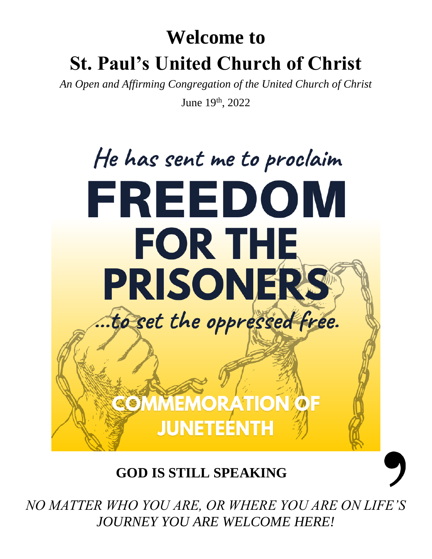# **Welcome to St. Paul's United Church of Christ**

*An Open and Affirming Congregation of the United Church of Christ*

June 19<sup>th</sup>, 2022



**GOD IS STILL SPEAKING**

*NO MATTER WHO YOU ARE, OR WHERE YOU ARE ON LIFE'S JOURNEY YOU ARE WELCOME HERE!*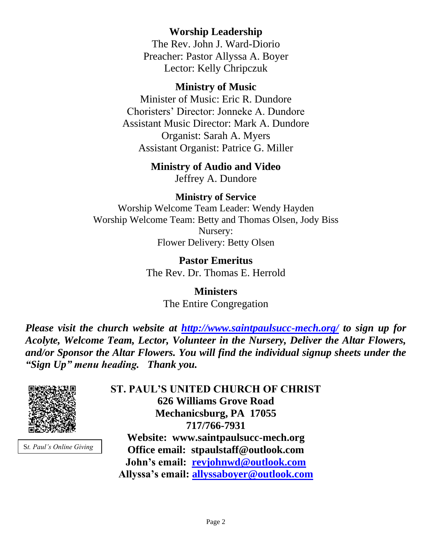## **Worship Leadership**

The Rev. John J. Ward-Diorio Preacher: Pastor Allyssa A. Boyer Lector: Kelly Chripczuk

### **Ministry of Music**

Minister of Music: Eric R. Dundore Choristers' Director: Jonneke A. Dundore Assistant Music Director: Mark A. Dundore Organist: Sarah A. Myers Assistant Organist: Patrice G. Miller

## **Ministry of Audio and Video**

Jeffrey A. Dundore

### **Ministry of Service**

Worship Welcome Team Leader: Wendy Hayden Worship Welcome Team: Betty and Thomas Olsen, Jody Biss Nursery: Flower Delivery: Betty Olsen

> **Pastor Emeritus** The Rev. Dr. Thomas E. Herrold

> > **Ministers** The Entire Congregation

*Please visit the church website at <http://www.saintpaulsucc-mech.org/> to sign up for Acolyte, Welcome Team, Lector, Volunteer in the Nursery, Deliver the Altar Flowers, and/or Sponsor the Altar Flowers. You will find the individual signup sheets under the "Sign Up" menu heading. Thank you.*



S*t. Paul's Online Giving*

**ST. PAUL'S UNITED CHURCH OF CHRIST 626 Williams Grove Road Mechanicsburg, PA 17055 717/766-7931 Website: www.saintpaulsucc-mech.org Office email: stpaulstaff@outlook.com John's email: [revjohnwd@outlook.com](mailto:revjohnwd@outlook.com) Allyssa's email: [allyssaboyer@outlook.com](mailto:allyssaboyer@outlook.com)**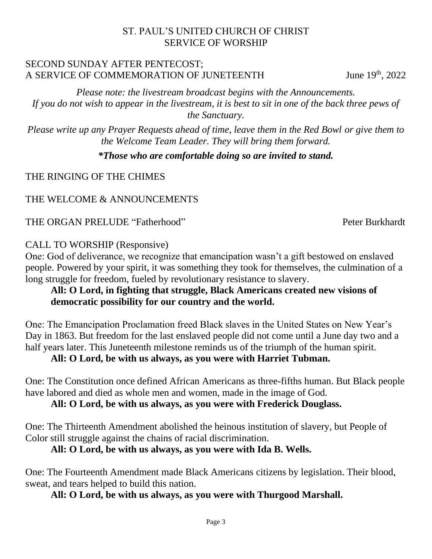#### ST. PAUL'S UNITED CHURCH OF CHRIST SERVICE OF WORSHIP

#### SECOND SUNDAY AFTER PENTECOST; A SERVICE OF COMMEMORATION OF JUNETEENTH June 19th, 2022

*Please note: the livestream broadcast begins with the Announcements. If you do not wish to appear in the livestream, it is best to sit in one of the back three pews of the Sanctuary.*

*Please write up any Prayer Requests ahead of time, leave them in the Red Bowl or give them to the Welcome Team Leader. They will bring them forward.*

#### *\*Those who are comfortable doing so are invited to stand.*

THE RINGING OF THE CHIMES

## THE WELCOME & ANNOUNCEMENTS

### THE ORGAN PRELUDE "Fatherhood" Peter Burkhardt

### CALL TO WORSHIP (Responsive)

One: God of deliverance, we recognize that emancipation wasn't a gift bestowed on enslaved people. Powered by your spirit, it was something they took for themselves, the culmination of a long struggle for freedom, fueled by revolutionary resistance to slavery.

### **All: O Lord, in fighting that struggle, Black Americans created new visions of democratic possibility for our country and the world.**

One: The Emancipation Proclamation freed Black slaves in the United States on New Year's Day in 1863. But freedom for the last enslaved people did not come until a June day two and a half years later. This Juneteenth milestone reminds us of the triumph of the human spirit.

### **All: O Lord, be with us always, as you were with Harriet Tubman.**

One: The Constitution once defined African Americans as three-fifths human. But Black people have labored and died as whole men and women, made in the image of God.

## **All: O Lord, be with us always, as you were with Frederick Douglass.**

One: The Thirteenth Amendment abolished the heinous institution of slavery, but People of Color still struggle against the chains of racial discrimination.

## **All: O Lord, be with us always, as you were with Ida B. Wells.**

One: The Fourteenth Amendment made Black Americans citizens by legislation. Their blood, sweat, and tears helped to build this nation.

### **All: O Lord, be with us always, as you were with Thurgood Marshall.**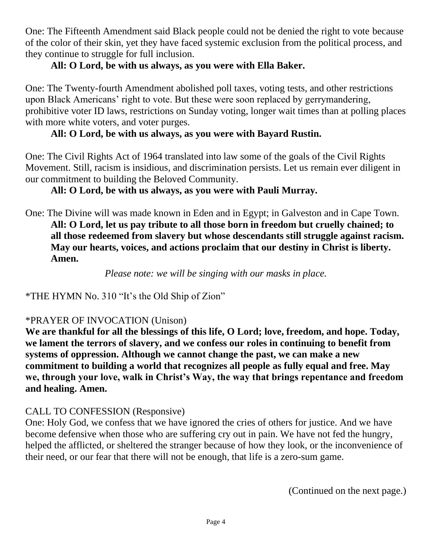One: The Fifteenth Amendment said Black people could not be denied the right to vote because of the color of their skin, yet they have faced systemic exclusion from the political process, and they continue to struggle for full inclusion.

## **All: O Lord, be with us always, as you were with Ella Baker.**

One: The Twenty-fourth Amendment abolished poll taxes, voting tests, and other restrictions upon Black Americans' right to vote. But these were soon replaced by gerrymandering, prohibitive voter ID laws, restrictions on Sunday voting, longer wait times than at polling places with more white voters, and voter purges.

## **All: O Lord, be with us always, as you were with Bayard Rustin.**

One: The Civil Rights Act of 1964 translated into law some of the goals of the Civil Rights Movement. Still, racism is insidious, and discrimination persists. Let us remain ever diligent in our commitment to building the Beloved Community.

## **All: O Lord, be with us always, as you were with Pauli Murray.**

One: The Divine will was made known in Eden and in Egypt; in Galveston and in Cape Town. **All: O Lord, let us pay tribute to all those born in freedom but cruelly chained; to all those redeemed from slavery but whose descendants still struggle against racism. May our hearts, voices, and actions proclaim that our destiny in Christ is liberty. Amen.**

*Please note: we will be singing with our masks in place.*

\*THE HYMN No. 310 "It's the Old Ship of Zion"

### \*PRAYER OF INVOCATION (Unison)

**We are thankful for all the blessings of this life, O Lord; love, freedom, and hope. Today, we lament the terrors of slavery, and we confess our roles in continuing to benefit from systems of oppression. Although we cannot change the past, we can make a new commitment to building a world that recognizes all people as fully equal and free. May we, through your love, walk in Christ's Way, the way that brings repentance and freedom and healing. Amen.**

## CALL TO CONFESSION (Responsive)

One: Holy God, we confess that we have ignored the cries of others for justice. And we have become defensive when those who are suffering cry out in pain. We have not fed the hungry, helped the afflicted, or sheltered the stranger because of how they look, or the inconvenience of their need, or our fear that there will not be enough, that life is a zero-sum game.

(Continued on the next page.)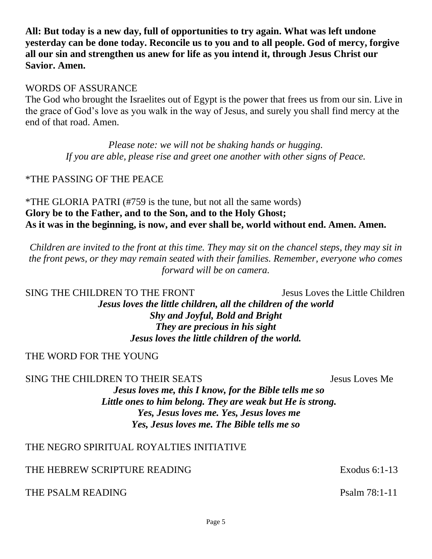**All: But today is a new day, full of opportunities to try again. What was left undone yesterday can be done today. Reconcile us to you and to all people. God of mercy, forgive all our sin and strengthen us anew for life as you intend it, through Jesus Christ our Savior. Amen.** 

#### WORDS OF ASSURANCE

The God who brought the Israelites out of Egypt is the power that frees us from our sin. Live in the grace of God's love as you walk in the way of Jesus, and surely you shall find mercy at the end of that road. Amen.

> *Please note: we will not be shaking hands or hugging. If you are able, please rise and greet one another with other signs of Peace.*

#### \*THE PASSING OF THE PEACE

\*THE GLORIA PATRI (#759 is the tune, but not all the same words) **Glory be to the Father, and to the Son, and to the Holy Ghost; As it was in the beginning, is now, and ever shall be, world without end. Amen. Amen.**

*Children are invited to the front at this time. They may sit on the chancel steps, they may sit in the front pews, or they may remain seated with their families. Remember, everyone who comes forward will be on camera.* 

SING THE CHILDREN TO THE FRONT Jesus Loves the Little Children *Jesus loves the little children, all the children of the world Shy and Joyful, Bold and Bright They are precious in his sight Jesus loves the little children of the world.*

#### THE WORD FOR THE YOUNG

SING THE CHILDREN TO THEIR SEATS SEATS SEARCHER SEATS *Jesus loves me, this I know, for the Bible tells me so Little ones to him belong. They are weak but He is strong. Yes, Jesus loves me. Yes, Jesus loves me Yes, Jesus loves me. The Bible tells me so*

### THE NEGRO SPIRITUAL ROYALTIES INITIATIVE

#### THE HEBREW SCRIPTURE READING EXODER EXODES EXODES 6:1-13

#### THE PSALM READING **Passed Account 2006** Psalm 78:1-11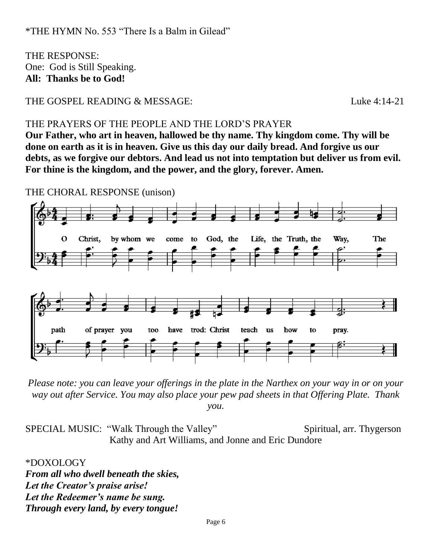THE RESPONSE: One: God is Still Speaking. **All: Thanks be to God!** 

THE GOSPEL READING & MESSAGE:<br>
Luke 4:14-21

#### THE PRAYERS OF THE PEOPLE AND THE LORD'S PRAYER

**Our Father, who art in heaven, hallowed be thy name. Thy kingdom come. Thy will be done on earth as it is in heaven. Give us this day our daily bread. And forgive us our debts, as we forgive our debtors. And lead us not into temptation but deliver us from evil. For thine is the kingdom, and the power, and the glory, forever. Amen.**

THE CHORAL RESPONSE (unison)



*Please note: you can leave your offerings in the plate in the Narthex on your way in or on your way out after Service. You may also place your pew pad sheets in that Offering Plate. Thank you.* 

SPECIAL MUSIC: "Walk Through the Valley" Spiritual, arr. Thygerson Kathy and Art Williams, and Jonne and Eric Dundore

\*DOXOLOGY *From all who dwell beneath the skies, Let the Creator's praise arise! Let the Redeemer's name be sung. Through every land, by every tongue!*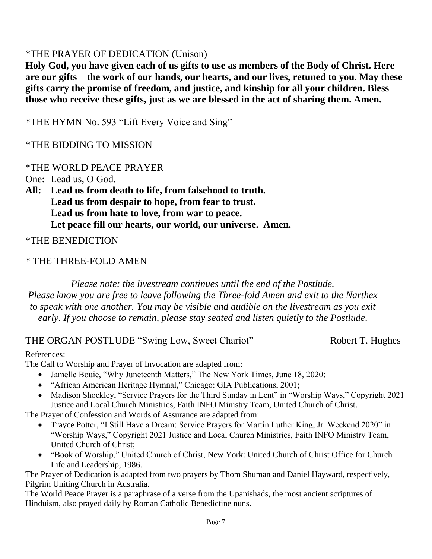## \*THE PRAYER OF DEDICATION (Unison)

**Holy God, you have given each of us gifts to use as members of the Body of Christ. Here are our gifts—the work of our hands, our hearts, and our lives, retuned to you. May these gifts carry the promise of freedom, and justice, and kinship for all your children. Bless those who receive these gifts, just as we are blessed in the act of sharing them. Amen.**

\*THE HYMN No. 593 "Lift Every Voice and Sing"

#### \*THE BIDDING TO MISSION

#### \*THE WORLD PEACE PRAYER

One: Lead us, O God.

**All: Lead us from death to life, from falsehood to truth. Lead us from despair to hope, from fear to trust. Lead us from hate to love, from war to peace. Let peace fill our hearts, our world, our universe. Amen.**

\*THE BENEDICTION

#### \* THE THREE-FOLD AMEN

*Please note: the livestream continues until the end of the Postlude. Please know you are free to leave following the Three-fold Amen and exit to the Narthex to speak with one another. You may be visible and audible on the livestream as you exit early. If you choose to remain, please stay seated and listen quietly to the Postlude.*

#### THE ORGAN POSTLUDE "Swing Low, Sweet Chariot" Robert T. Hughes

#### References:

The Call to Worship and Prayer of Invocation are adapted from:

- Jamelle Bouie, "Why Juneteenth Matters," The New York Times, June 18, 2020;
- "African American Heritage Hymnal," Chicago: GIA Publications, 2001;
- Madison Shockley, "Service Prayers for the Third Sunday in Lent" in "Worship Ways," Copyright 2021 Justice and Local Church Ministries, Faith INFO Ministry Team, United Church of Christ.

The Prayer of Confession and Words of Assurance are adapted from:

- Trayce Potter, "I Still Have a Dream: Service Prayers for Martin Luther King, Jr. Weekend 2020" in "Worship Ways," Copyright 2021 Justice and Local Church Ministries, Faith INFO Ministry Team, United Church of Christ;
- "Book of Worship," United Church of Christ, New York: United Church of Christ Office for Church Life and Leadership, 1986.

The Prayer of Dedication is adapted from two prayers by Thom Shuman and Daniel Hayward, respectively, Pilgrim Uniting Church in Australia.

The World Peace Prayer is a paraphrase of a verse from the Upanishads, the most ancient scriptures of Hinduism, also prayed daily by Roman Catholic Benedictine nuns.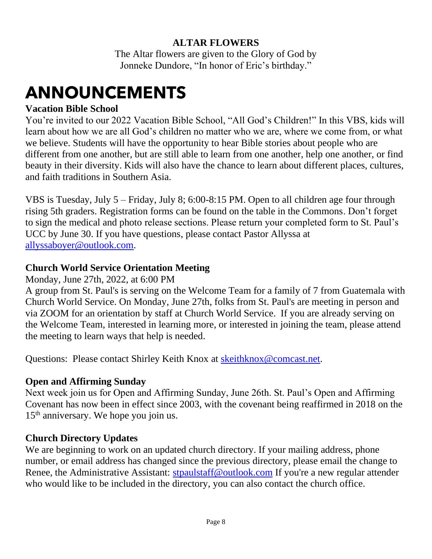## **ALTAR FLOWERS**

The Altar flowers are given to the Glory of God by Jonneke Dundore, "In honor of Eric's birthday."

## **ANNOUNCEMENTS**

## **Vacation Bible School**

You're invited to our 2022 Vacation Bible School, "All God's Children!" In this VBS, kids will learn about how we are all God's children no matter who we are, where we come from, or what we believe. Students will have the opportunity to hear Bible stories about people who are different from one another, but are still able to learn from one another, help one another, or find beauty in their diversity. Kids will also have the chance to learn about different places, cultures, and faith traditions in Southern Asia.

VBS is Tuesday, July 5 – Friday, July 8; 6:00-8:15 PM. Open to all children age four through rising 5th graders. Registration forms can be found on the table in the Commons. Don't forget to sign the medical and photo release sections. Please return your completed form to St. Paul's UCC by June 30. If you have questions, please contact Pastor Allyssa at [allyssaboyer@outlook.com.](mailto:allyssaboyer@outlook.com)

## **Church World Service Orientation Meeting**

Monday, June 27th, 2022, at 6:00 PM

A group from St. Paul's is serving on the Welcome Team for a family of 7 from Guatemala with Church World Service. On Monday, June 27th, folks from St. Paul's are meeting in person and via ZOOM for an orientation by staff at Church World Service. If you are already serving on the Welcome Team, interested in learning more, or interested in joining the team, please attend the meeting to learn ways that help is needed.

Questions: Please contact Shirley Keith Knox at [skeithknox@comcast.net.](mailto:skeithknox@comcast.net)

## **Open and Affirming Sunday**

Next week join us for Open and Affirming Sunday, June 26th. St. Paul's Open and Affirming Covenant has now been in effect since 2003, with the covenant being reaffirmed in 2018 on the  $15<sup>th</sup>$  anniversary. We hope you join us.

## **Church Directory Updates**

We are beginning to work on an updated church directory. If your mailing address, phone number, or email address has changed since the previous directory, please email the change to Renee, the Administrative Assistant: [stpaulstaff@outlook.com](mailto:stpaulstaff@outlook.com) If you're a new regular attender who would like to be included in the directory, you can also contact the church office.